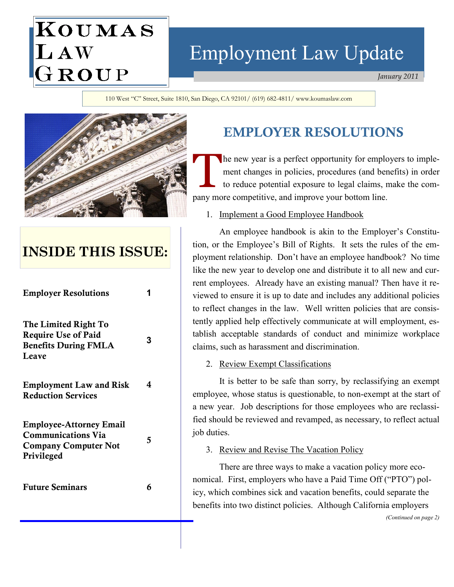# KOUMAS LAW<br>GROUP

# Employment Law Update

January 2011

110 West "C" Street, Suite 1810, San Diego, CA 92101/ (619) 682-4811/ www.koumaslaw.com



## INSIDE THIS ISSUE:

| <b>Employer Resolutions</b>                                                                              |   |
|----------------------------------------------------------------------------------------------------------|---|
| The Limited Right To<br><b>Require Use of Paid</b><br><b>Benefits During FMLA</b><br>Leave               | 3 |
| <b>Employment Law and Risk</b><br><b>Reduction Services</b>                                              | 4 |
| <b>Employee-Attorney Email</b><br><b>Communications Via</b><br><b>Company Computer Not</b><br>Privileged | 5 |
| <b>Future Seminars</b>                                                                                   | 6 |

## EMPLOYER RESOLUTIONS

The new year is a perfect opportunity for employers to imple-<br>ment changes in policies, procedures (and benefits) in order<br>to reduce potential exposure to legal claims, make the comment changes in policies, procedures (and benefits) in order to reduce potential exposure to legal claims, make the company more competitive, and improve your bottom line.

### 1. Implement a Good Employee Handbook

 An employee handbook is akin to the Employer's Constitution, or the Employee's Bill of Rights. It sets the rules of the employment relationship. Don't have an employee handbook? No time like the new year to develop one and distribute it to all new and current employees. Already have an existing manual? Then have it reviewed to ensure it is up to date and includes any additional policies to reflect changes in the law. Well written policies that are consistently applied help effectively communicate at will employment, establish acceptable standards of conduct and minimize workplace claims, such as harassment and discrimination.

### 2. Review Exempt Classifications

 It is better to be safe than sorry, by reclassifying an exempt employee, whose status is questionable, to non-exempt at the start of a new year. Job descriptions for those employees who are reclassified should be reviewed and revamped, as necessary, to reflect actual job duties.

### 3. Review and Revise The Vacation Policy

 There are three ways to make a vacation policy more economical. First, employers who have a Paid Time Off ("PTO") policy, which combines sick and vacation benefits, could separate the benefits into two distinct policies. Although California employers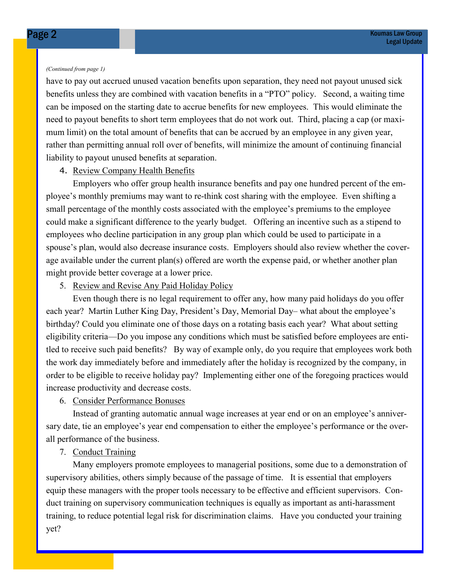#### (Continued from page 1)

have to pay out accrued unused vacation benefits upon separation, they need not payout unused sick benefits unless they are combined with vacation benefits in a "PTO" policy. Second, a waiting time can be imposed on the starting date to accrue benefits for new employees. This would eliminate the need to payout benefits to short term employees that do not work out. Third, placing a cap (or maximum limit) on the total amount of benefits that can be accrued by an employee in any given year, rather than permitting annual roll over of benefits, will minimize the amount of continuing financial liability to payout unused benefits at separation.

#### 4. Review Company Health Benefits

 Employers who offer group health insurance benefits and pay one hundred percent of the employee's monthly premiums may want to re-think cost sharing with the employee. Even shifting a small percentage of the monthly costs associated with the employee's premiums to the employee could make a significant difference to the yearly budget. Offering an incentive such as a stipend to employees who decline participation in any group plan which could be used to participate in a spouse's plan, would also decrease insurance costs. Employers should also review whether the coverage available under the current plan(s) offered are worth the expense paid, or whether another plan might provide better coverage at a lower price.

### 5. Review and Revise Any Paid Holiday Policy

 Even though there is no legal requirement to offer any, how many paid holidays do you offer each year? Martin Luther King Day, President's Day, Memorial Day– what about the employee's birthday? Could you eliminate one of those days on a rotating basis each year? What about setting eligibility criteria—Do you impose any conditions which must be satisfied before employees are entitled to receive such paid benefits? By way of example only, do you require that employees work both the work day immediately before and immediately after the holiday is recognized by the company, in order to be eligible to receive holiday pay? Implementing either one of the foregoing practices would increase productivity and decrease costs.

### 6. Consider Performance Bonuses

 Instead of granting automatic annual wage increases at year end or on an employee's anniversary date, tie an employee's year end compensation to either the employee's performance or the overall performance of the business.

### 7. Conduct Training

 Many employers promote employees to managerial positions, some due to a demonstration of supervisory abilities, others simply because of the passage of time. It is essential that employers equip these managers with the proper tools necessary to be effective and efficient supervisors. Conduct training on supervisory communication techniques is equally as important as anti-harassment training, to reduce potential legal risk for discrimination claims. Have you conducted your training yet?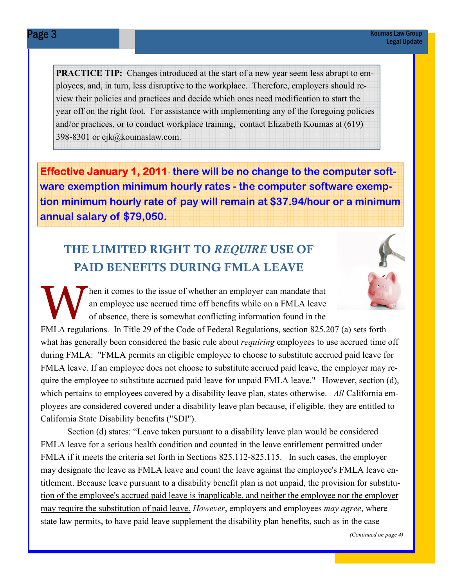PRACTICE TIP: Changes introduced at the start of a new year seem less abrupt to employees, and, in turn, less disruptive to the workplace. Therefore, employers should review their policies and practices and decide which ones need modification to start the year off on the right foot. For assistance with implementing any of the foregoing policies and/or practices, or to conduct workplace training, contact Elizabeth Koumas at (619) 398-8301 or ejk@koumaslaw.com.

Effective January 1, 2011 there will be no change to the computer software exemption minimum hourly rates - the computer software exemption minimum hourly rate of pay will remain at \$37.94/hour or a minimum annual salary of \$79,050.

### THE LIMITED RIGHT TO REQUIRE USE OF PAID BENEFITS DURING FMLA LEAVE



Then it comes to the issue of whether an employer can mandate that<br>an employee use accrued time off benefits while on a FMLA leave<br>of absence, there is somewhat conflicting information found in the an employee use accrued time off benefits while on a FMLA leave of absence, there is somewhat conflicting information found in the

FMLA regulations. In Title 29 of the Code of Federal Regulations, section 825.207 (a) sets forth what has generally been considered the basic rule about *requiring* employees to use accrued time off during FMLA: "FMLA permits an eligible employee to choose to substitute accrued paid leave for FMLA leave. If an employee does not choose to substitute accrued paid leave, the employer may require the employee to substitute accrued paid leave for unpaid FMLA leave." However, section (d), which pertains to employees covered by a disability leave plan, states otherwise. All California employees are considered covered under a disability leave plan because, if eligible, they are entitled to California State Disability benefits ("SDI").

 Section (d) states: "Leave taken pursuant to a disability leave plan would be considered FMLA leave for a serious health condition and counted in the leave entitlement permitted under FMLA if it meets the criteria set forth in Sections 825.112-825.115. In such cases, the employer may designate the leave as FMLA leave and count the leave against the employee's FMLA leave entitlement. Because leave pursuant to a disability benefit plan is not unpaid, the provision for substitution of the employee's accrued paid leave is inapplicable, and neither the employee nor the employer may require the substitution of paid leave. However, employers and employees may agree, where state law permits, to have paid leave supplement the disability plan benefits, such as in the case

(Continued on page 4)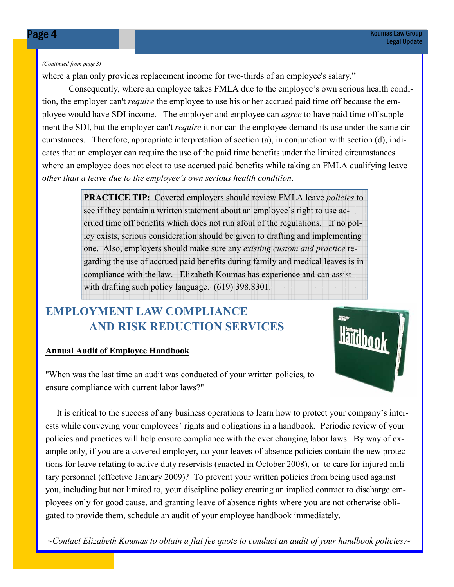#### (Continued from page 3)

where a plan only provides replacement income for two-thirds of an employee's salary."

 Consequently, where an employee takes FMLA due to the employee's own serious health condition, the employer can't require the employee to use his or her accrued paid time off because the employee would have SDI income. The employer and employee can *agree* to have paid time off supplement the SDI, but the employer can't *require* it nor can the employee demand its use under the same circumstances. Therefore, appropriate interpretation of section (a), in conjunction with section (d), indicates that an employer can require the use of the paid time benefits under the limited circumstances where an employee does not elect to use accrued paid benefits while taking an FMLA qualifying leave other than a leave due to the employee's own serious health condition.

> **PRACTICE TIP:** Covered employers should review FMLA leave *policies* to see if they contain a written statement about an employee's right to use accrued time off benefits which does not run afoul of the regulations. If no policy exists, serious consideration should be given to drafting and implementing one. Also, employers should make sure any existing custom and practice regarding the use of accrued paid benefits during family and medical leaves is in compliance with the law. Elizabeth Koumas has experience and can assist with drafting such policy language. (619) 398.8301.

### EMPLOYMENT LAW COMPLIANCE AND RISK REDUCTION SERVICES

### Annual Audit of Employee Handbook

"When was the last time an audit was conducted of your written policies, to ensure compliance with current labor laws?"

 It is critical to the success of any business operations to learn how to protect your company's interests while conveying your employees' rights and obligations in a handbook. Periodic review of your policies and practices will help ensure compliance with the ever changing labor laws. By way of example only, if you are a covered employer, do your leaves of absence policies contain the new protections for leave relating to active duty reservists (enacted in October 2008), or to care for injured military personnel (effective January 2009)? To prevent your written policies from being used against you, including but not limited to, your discipline policy creating an implied contract to discharge employees only for good cause, and granting leave of absence rights where you are not otherwise obligated to provide them, schedule an audit of your employee handbook immediately.

 $\sim$ Contact Elizabeth Koumas to obtain a flat fee quote to conduct an audit of your handbook policies. $\sim$ 

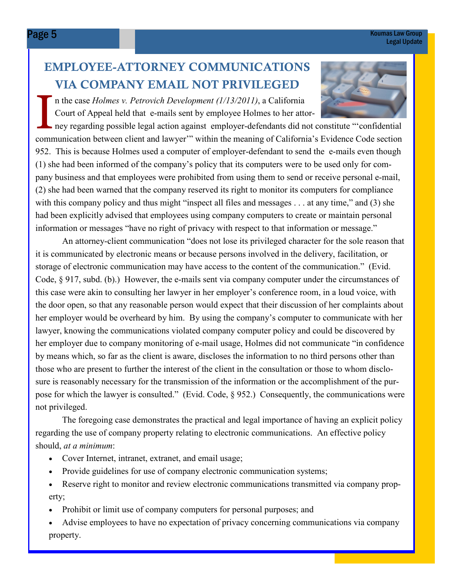### EMPLOYEE-ATTORNEY COMMUNICATIONS VIA COMPANY EMAIL NOT PRIVILEGED

n the case Holmes v. Petrovich Development  $(1/13/2011)$ , a California Court of Appeal held that e-mails sent by employee Holmes to her attor-



ney regarding possible legal action against employer-defendants did not constitute "'confidential communication between client and lawyer'" within the meaning of California's Evidence Code section 952. This is because Holmes used a computer of employer-defendant to send the e-mails even though (1) she had been informed of the company's policy that its computers were to be used only for company business and that employees were prohibited from using them to send or receive personal e-mail, (2) she had been warned that the company reserved its right to monitor its computers for compliance with this company policy and thus might "inspect all files and messages . . . at any time," and (3) she had been explicitly advised that employees using company computers to create or maintain personal information or messages "have no right of privacy with respect to that information or message."

 An attorney-client communication "does not lose its privileged character for the sole reason that it is communicated by electronic means or because persons involved in the delivery, facilitation, or storage of electronic communication may have access to the content of the communication." (Evid. Code, § 917, subd. (b).) However, the e-mails sent via company computer under the circumstances of this case were akin to consulting her lawyer in her employer's conference room, in a loud voice, with the door open, so that any reasonable person would expect that their discussion of her complaints about her employer would be overheard by him. By using the company's computer to communicate with her lawyer, knowing the communications violated company computer policy and could be discovered by her employer due to company monitoring of e-mail usage, Holmes did not communicate "in confidence by means which, so far as the client is aware, discloses the information to no third persons other than those who are present to further the interest of the client in the consultation or those to whom disclosure is reasonably necessary for the transmission of the information or the accomplishment of the purpose for which the lawyer is consulted." (Evid. Code, § 952.) Consequently, the communications were not privileged.

 The foregoing case demonstrates the practical and legal importance of having an explicit policy regarding the use of company property relating to electronic communications. An effective policy should, at a minimum:

- Cover Internet, intranet, extranet, and email usage;
- Provide guidelines for use of company electronic communication systems;
- Reserve right to monitor and review electronic communications transmitted via company property;
- Prohibit or limit use of company computers for personal purposes; and
- Advise employees to have no expectation of privacy concerning communications via company property.